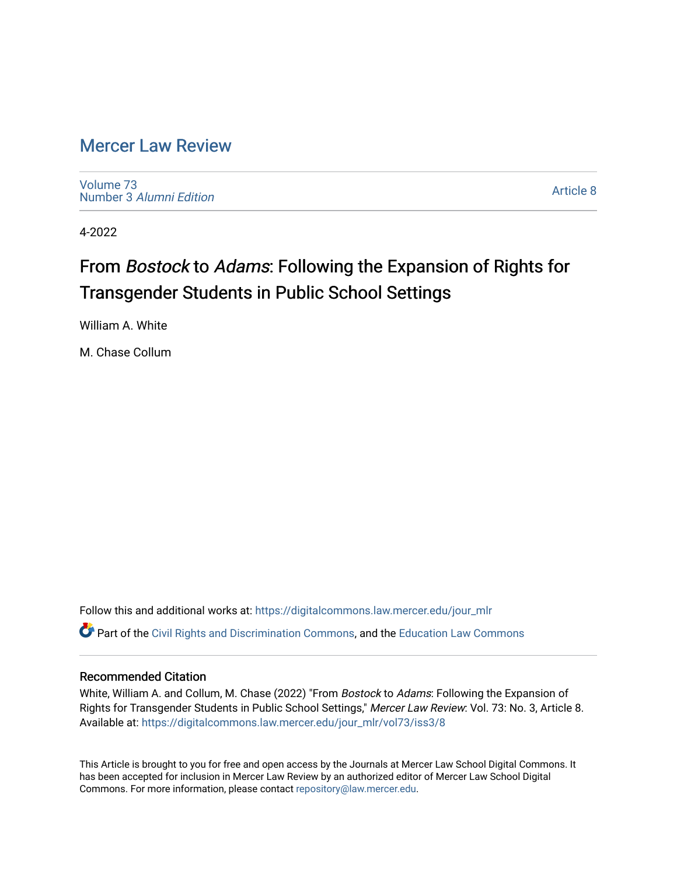# [Mercer Law Review](https://digitalcommons.law.mercer.edu/jour_mlr)

[Volume 73](https://digitalcommons.law.mercer.edu/jour_mlr/vol73) Number 3 [Alumni Edition](https://digitalcommons.law.mercer.edu/jour_mlr/vol73/iss3) 

[Article 8](https://digitalcommons.law.mercer.edu/jour_mlr/vol73/iss3/8) 

4-2022

# From Bostock to Adams: Following the Expansion of Rights for Transgender Students in Public School Settings

William A. White

M. Chase Collum

Follow this and additional works at: [https://digitalcommons.law.mercer.edu/jour\\_mlr](https://digitalcommons.law.mercer.edu/jour_mlr?utm_source=digitalcommons.law.mercer.edu%2Fjour_mlr%2Fvol73%2Fiss3%2F8&utm_medium=PDF&utm_campaign=PDFCoverPages) Part of the [Civil Rights and Discrimination Commons,](http://network.bepress.com/hgg/discipline/585?utm_source=digitalcommons.law.mercer.edu%2Fjour_mlr%2Fvol73%2Fiss3%2F8&utm_medium=PDF&utm_campaign=PDFCoverPages) and the [Education Law Commons](http://network.bepress.com/hgg/discipline/596?utm_source=digitalcommons.law.mercer.edu%2Fjour_mlr%2Fvol73%2Fiss3%2F8&utm_medium=PDF&utm_campaign=PDFCoverPages) 

# Recommended Citation

White, William A. and Collum, M. Chase (2022) "From Bostock to Adams: Following the Expansion of Rights for Transgender Students in Public School Settings," Mercer Law Review: Vol. 73: No. 3, Article 8. Available at: [https://digitalcommons.law.mercer.edu/jour\\_mlr/vol73/iss3/8](https://digitalcommons.law.mercer.edu/jour_mlr/vol73/iss3/8?utm_source=digitalcommons.law.mercer.edu%2Fjour_mlr%2Fvol73%2Fiss3%2F8&utm_medium=PDF&utm_campaign=PDFCoverPages)

This Article is brought to you for free and open access by the Journals at Mercer Law School Digital Commons. It has been accepted for inclusion in Mercer Law Review by an authorized editor of Mercer Law School Digital Commons. For more information, please contact [repository@law.mercer.edu.](mailto:repository@law.mercer.edu)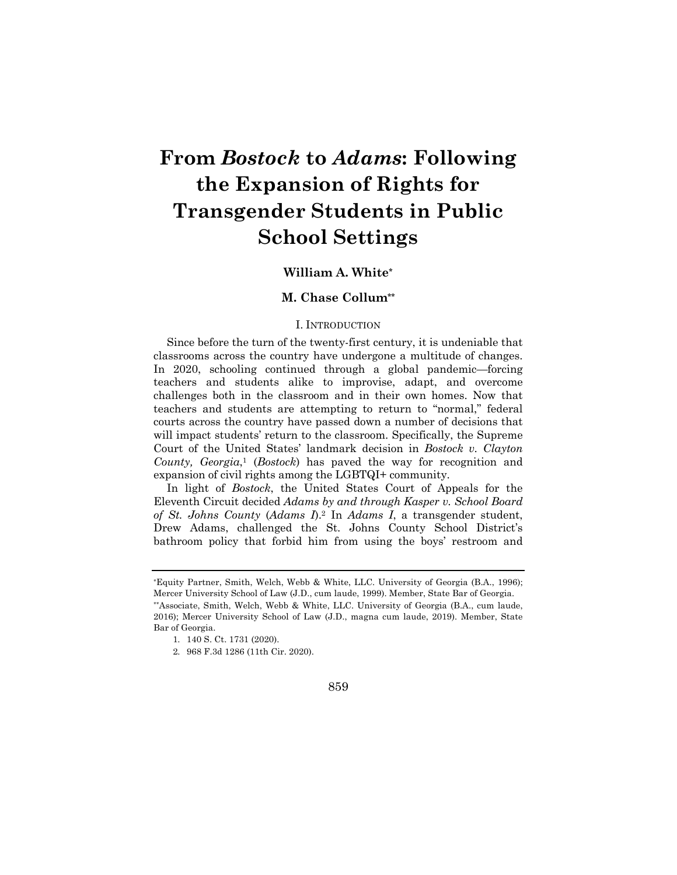# **From** *Bostock* **to** *Adams***: Following the Expansion of Rights for Transgender Students in Public School Settings**

# **William A. White\***

# **M. Chase Collum\*\***

### I. INTRODUCTION

Since before the turn of the twenty-first century, it is undeniable that classrooms across the country have undergone a multitude of changes. In 2020, schooling continued through a global pandemic—forcing teachers and students alike to improvise, adapt, and overcome challenges both in the classroom and in their own homes. Now that teachers and students are attempting to return to "normal," federal courts across the country have passed down a number of decisions that will impact students' return to the classroom. Specifically, the Supreme Court of the United States' landmark decision in *Bostock v. Clayton County, Georgia*,1 (*Bostock*) has paved the way for recognition and expansion of civil rights among the LGBTQI+ community.

In light of *Bostock*, the United States Court of Appeals for the Eleventh Circuit decided *Adams by and through Kasper v. School Board of St. Johns County* (*Adams I*).2 In *Adams I*, a transgender student, Drew Adams, challenged the St. Johns County School District's bathroom policy that forbid him from using the boys' restroom and

<sup>2.</sup> 968 F.3d 1286 (11th Cir. 2020).



<sup>\*</sup>Equity Partner, Smith, Welch, Webb & White, LLC. University of Georgia (B.A., 1996); Mercer University School of Law (J.D., cum laude, 1999). Member, State Bar of Georgia. \*\*Associate, Smith, Welch, Webb & White, LLC. University of Georgia (B.A., cum laude, 2016); Mercer University School of Law (J.D., magna cum laude, 2019). Member, State Bar of Georgia.

<sup>1.</sup> 140 S. Ct. 1731 (2020).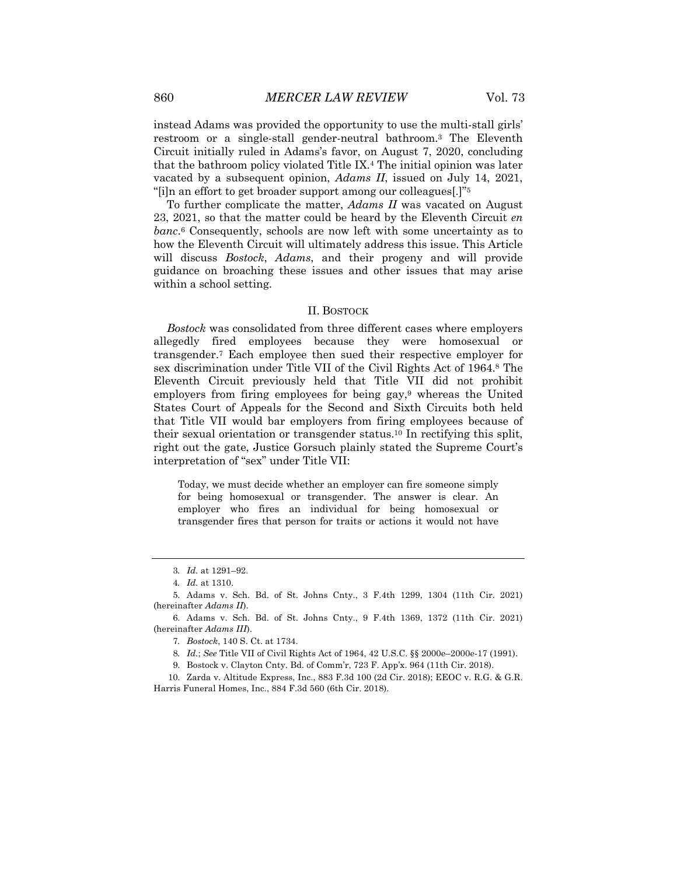instead Adams was provided the opportunity to use the multi-stall girls' restroom or a single-stall gender-neutral bathroom.3 The Eleventh Circuit initially ruled in Adams's favor, on August 7, 2020, concluding that the bathroom policy violated Title IX.4 The initial opinion was later vacated by a subsequent opinion, *Adams II*, issued on July 14, 2021, "[i]n an effort to get broader support among our colleagues[.]"5

To further complicate the matter, *Adams II* was vacated on August 23, 2021, so that the matter could be heard by the Eleventh Circuit *en banc*.6 Consequently, schools are now left with some uncertainty as to how the Eleventh Circuit will ultimately address this issue. This Article will discuss *Bostock*, *Adams*, and their progeny and will provide guidance on broaching these issues and other issues that may arise within a school setting.

# II. BOSTOCK

*Bostock* was consolidated from three different cases where employers allegedly fired employees because they were homosexual or transgender.7 Each employee then sued their respective employer for sex discrimination under Title VII of the Civil Rights Act of 1964.8 The Eleventh Circuit previously held that Title VII did not prohibit employers from firing employees for being gay,<sup>9</sup> whereas the United States Court of Appeals for the Second and Sixth Circuits both held that Title VII would bar employers from firing employees because of their sexual orientation or transgender status.10 In rectifying this split, right out the gate, Justice Gorsuch plainly stated the Supreme Court's interpretation of "sex" under Title VII:

Today, we must decide whether an employer can fire someone simply for being homosexual or transgender. The answer is clear. An employer who fires an individual for being homosexual or transgender fires that person for traits or actions it would not have

<sup>3</sup>*. Id.* at 1291–92.

<sup>4</sup>*. Id.* at 1310.

<sup>5.</sup> Adams v. Sch. Bd. of St. Johns Cnty., 3 F.4th 1299, 1304 (11th Cir. 2021) (hereinafter *Adams II*).

<sup>6.</sup> Adams v. Sch. Bd. of St. Johns Cnty., 9 F.4th 1369, 1372 (11th Cir. 2021) (hereinafter *Adams III*).

<sup>7</sup>*. Bostock*, 140 S. Ct. at 1734.

<sup>8</sup>*. Id.*; *See* Title VII of Civil Rights Act of 1964, 42 U.S.C. §§ 2000e–2000e-17 (1991).

<sup>9.</sup> Bostock v. Clayton Cnty. Bd. of Comm'r, 723 F. App'x. 964 (11th Cir. 2018).

<sup>10.</sup> Zarda v. Altitude Express, Inc., 883 F.3d 100 (2d Cir. 2018); EEOC v. R.G. & G.R. Harris Funeral Homes, Inc*.*, 884 F.3d 560 (6th Cir. 2018).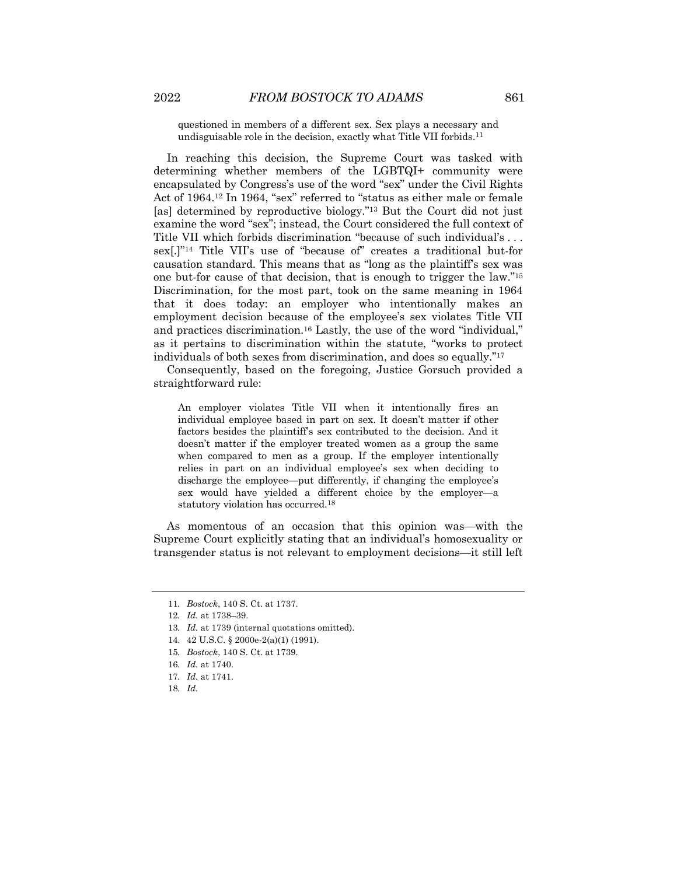questioned in members of a different sex. Sex plays a necessary and undisguisable role in the decision, exactly what Title VII forbids.11

In reaching this decision, the Supreme Court was tasked with determining whether members of the LGBTQI+ community were encapsulated by Congress's use of the word "sex" under the Civil Rights Act of 1964.12 In 1964, "sex" referred to "status as either male or female [as] determined by reproductive biology."<sup>13</sup> But the Court did not just examine the word "sex"; instead, the Court considered the full context of Title VII which forbids discrimination "because of such individual's . . . sex[.]"14 Title VII's use of "because of" creates a traditional but-for causation standard. This means that as "long as the plaintiff's sex was one but-for cause of that decision, that is enough to trigger the law."15 Discrimination, for the most part, took on the same meaning in 1964 that it does today: an employer who intentionally makes an employment decision because of the employee's sex violates Title VII and practices discrimination.16 Lastly, the use of the word "individual," as it pertains to discrimination within the statute, "works to protect individuals of both sexes from discrimination, and does so equally."17

Consequently, based on the foregoing, Justice Gorsuch provided a straightforward rule:

An employer violates Title VII when it intentionally fires an individual employee based in part on sex. It doesn't matter if other factors besides the plaintiff's sex contributed to the decision. And it doesn't matter if the employer treated women as a group the same when compared to men as a group. If the employer intentionally relies in part on an individual employee's sex when deciding to discharge the employee—put differently, if changing the employee's sex would have yielded a different choice by the employer—a statutory violation has occurred.18

As momentous of an occasion that this opinion was—with the Supreme Court explicitly stating that an individual's homosexuality or transgender status is not relevant to employment decisions—it still left

<sup>11</sup>*. Bostock*, 140 S. Ct. at 1737.

<sup>12</sup>*. Id.* at 1738–39.

<sup>13</sup>*. Id.* at 1739 (internal quotations omitted).

<sup>14.</sup> 42 U.S.C. § 2000e-2(a)(1) (1991).

<sup>15</sup>*. Bostock*, 140 S. Ct. at 1739.

<sup>16</sup>*. Id.* at 1740.

<sup>17</sup>*. Id.* at 1741.

<sup>18</sup>*. Id.*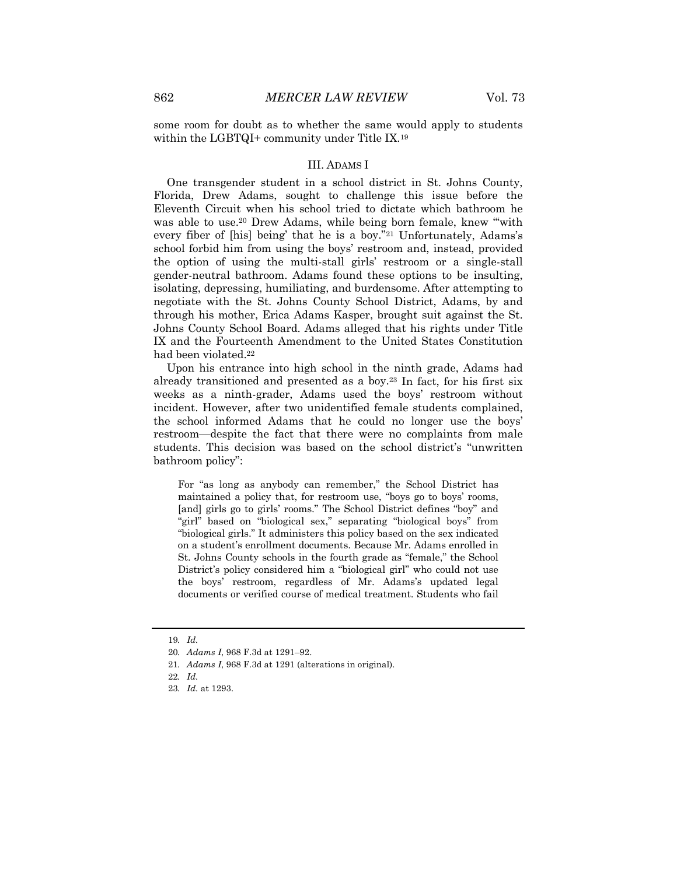some room for doubt as to whether the same would apply to students within the LGBTQI+ community under Title IX.<sup>19</sup>

#### III. ADAMS I

One transgender student in a school district in St. Johns County, Florida, Drew Adams, sought to challenge this issue before the Eleventh Circuit when his school tried to dictate which bathroom he was able to use.<sup>20</sup> Drew Adams, while being born female, knew "with every fiber of [his] being' that he is a boy."21 Unfortunately, Adams's school forbid him from using the boys' restroom and, instead, provided the option of using the multi-stall girls' restroom or a single-stall gender-neutral bathroom. Adams found these options to be insulting, isolating, depressing, humiliating, and burdensome. After attempting to negotiate with the St. Johns County School District, Adams, by and through his mother, Erica Adams Kasper, brought suit against the St. Johns County School Board. Adams alleged that his rights under Title IX and the Fourteenth Amendment to the United States Constitution had been violated.22

Upon his entrance into high school in the ninth grade, Adams had already transitioned and presented as a boy.23 In fact, for his first six weeks as a ninth-grader, Adams used the boys' restroom without incident. However, after two unidentified female students complained, the school informed Adams that he could no longer use the boys' restroom—despite the fact that there were no complaints from male students. This decision was based on the school district's "unwritten bathroom policy":

For "as long as anybody can remember," the School District has maintained a policy that, for restroom use, "boys go to boys' rooms, [and] girls go to girls' rooms." The School District defines "boy" and "girl" based on "biological sex," separating "biological boys" from "biological girls." It administers this policy based on the sex indicated on a student's enrollment documents. Because Mr. Adams enrolled in St. Johns County schools in the fourth grade as "female," the School District's policy considered him a "biological girl" who could not use the boys' restroom, regardless of Mr. Adams's updated legal documents or verified course of medical treatment. Students who fail

<sup>19</sup>*. Id.*

<sup>20</sup>*. Adams I*, 968 F.3d at 1291–92.

<sup>21</sup>*. Adams I*, 968 F.3d at 1291 (alterations in original).

<sup>22</sup>*. Id.*

<sup>23</sup>*. Id.* at 1293.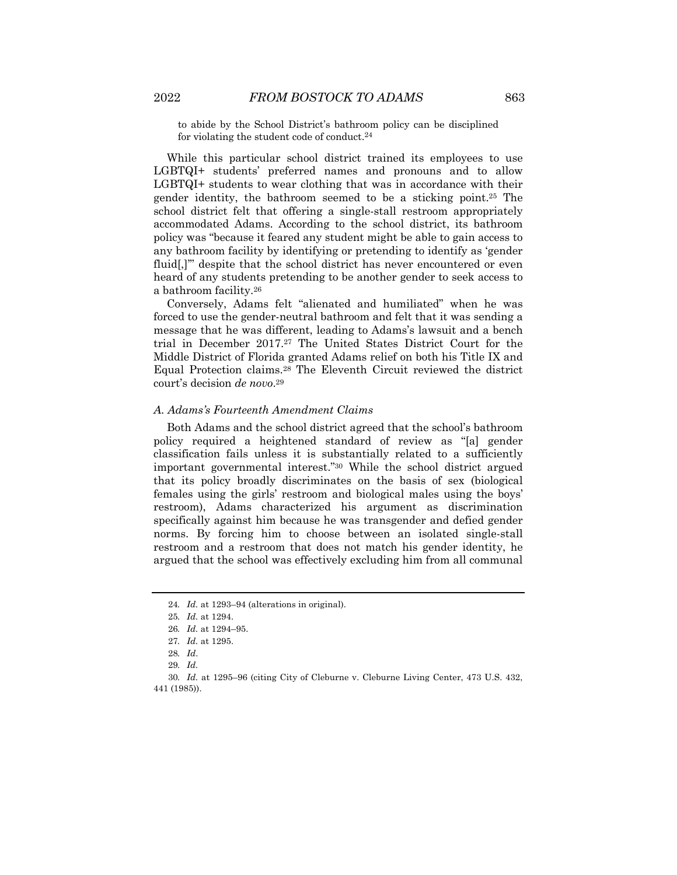to abide by the School District's bathroom policy can be disciplined for violating the student code of conduct.24

While this particular school district trained its employees to use LGBTQI+ students' preferred names and pronouns and to allow LGBTQI+ students to wear clothing that was in accordance with their gender identity, the bathroom seemed to be a sticking point.25 The school district felt that offering a single-stall restroom appropriately accommodated Adams. According to the school district, its bathroom policy was "because it feared any student might be able to gain access to any bathroom facility by identifying or pretending to identify as 'gender fluid[,]" despite that the school district has never encountered or even heard of any students pretending to be another gender to seek access to a bathroom facility.26

Conversely, Adams felt "alienated and humiliated" when he was forced to use the gender-neutral bathroom and felt that it was sending a message that he was different, leading to Adams's lawsuit and a bench trial in December 2017.27 The United States District Court for the Middle District of Florida granted Adams relief on both his Title IX and Equal Protection claims.28 The Eleventh Circuit reviewed the district court's decision *de novo*.29

# *A. Adams's Fourteenth Amendment Claims*

Both Adams and the school district agreed that the school's bathroom policy required a heightened standard of review as "[a] gender classification fails unless it is substantially related to a sufficiently important governmental interest."30 While the school district argued that its policy broadly discriminates on the basis of sex (biological females using the girls' restroom and biological males using the boys' restroom), Adams characterized his argument as discrimination specifically against him because he was transgender and defied gender norms. By forcing him to choose between an isolated single-stall restroom and a restroom that does not match his gender identity, he argued that the school was effectively excluding him from all communal

<sup>24</sup>*. Id.* at 1293–94 (alterations in original).

<sup>25</sup>*. Id.* at 1294.

<sup>26</sup>*. Id.* at 1294–95.

<sup>27</sup>*. Id.* at 1295.

<sup>28</sup>*. Id*.

<sup>29</sup>*. Id.*

<sup>30</sup>*. Id.* at 1295–96 (citing City of Cleburne v. Cleburne Living Center, 473 U.S. 432, 441 (1985)).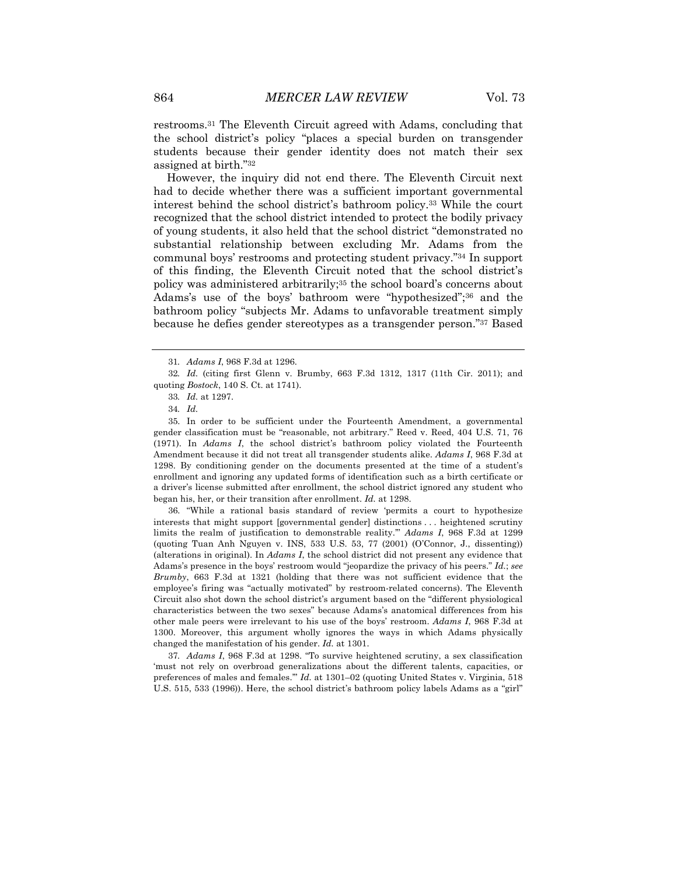restrooms.31 The Eleventh Circuit agreed with Adams, concluding that the school district's policy "places a special burden on transgender students because their gender identity does not match their sex assigned at birth."32

However, the inquiry did not end there. The Eleventh Circuit next had to decide whether there was a sufficient important governmental interest behind the school district's bathroom policy.33 While the court recognized that the school district intended to protect the bodily privacy of young students, it also held that the school district "demonstrated no substantial relationship between excluding Mr. Adams from the communal boys' restrooms and protecting student privacy."34 In support of this finding, the Eleventh Circuit noted that the school district's policy was administered arbitrarily;35 the school board's concerns about Adams's use of the boys' bathroom were "hypothesized";36 and the bathroom policy "subjects Mr. Adams to unfavorable treatment simply because he defies gender stereotypes as a transgender person."37 Based

36. "While a rational basis standard of review 'permits a court to hypothesize interests that might support [governmental gender] distinctions . . . heightened scrutiny limits the realm of justification to demonstrable reality.'" *Adams I*, 968 F.3d at 1299 (quoting Tuan Anh Nguyen v. INS, 533 U.S. 53, 77 (2001) (O'Connor, J., dissenting)) (alterations in original). In *Adams I*, the school district did not present any evidence that Adams's presence in the boys' restroom would "jeopardize the privacy of his peers." *Id.*; *see Brumby*, 663 F.3d at 1321 (holding that there was not sufficient evidence that the employee's firing was "actually motivated" by restroom-related concerns). The Eleventh Circuit also shot down the school district's argument based on the "different physiological characteristics between the two sexes" because Adams's anatomical differences from his other male peers were irrelevant to his use of the boys' restroom. *Adams I*, 968 F.3d at 1300. Moreover, this argument wholly ignores the ways in which Adams physically changed the manifestation of his gender. *Id.* at 1301.

37*. Adams I*, 968 F.3d at 1298. "To survive heightened scrutiny, a sex classification 'must not rely on overbroad generalizations about the different talents, capacities, or preferences of males and females.'" *Id.* at 1301–02 (quoting United States v. Virginia, 518 U.S. 515, 533 (1996)). Here, the school district's bathroom policy labels Adams as a "girl"

<sup>31</sup>*. Adams I*, 968 F.3d at 1296.

<sup>32</sup>*. Id.* (citing first Glenn v. Brumby, 663 F.3d 1312, 1317 (11th Cir. 2011); and quoting *Bostock*, 140 S. Ct. at 1741).

<sup>33</sup>*. Id.* at 1297.

<sup>34</sup>*. Id.*

<sup>35.</sup> In order to be sufficient under the Fourteenth Amendment, a governmental gender classification must be "reasonable, not arbitrary." Reed v. Reed, 404 U.S. 71, 76 (1971). In *Adams I*, the school district's bathroom policy violated the Fourteenth Amendment because it did not treat all transgender students alike. *Adams I*, 968 F.3d at 1298. By conditioning gender on the documents presented at the time of a student's enrollment and ignoring any updated forms of identification such as a birth certificate or a driver's license submitted after enrollment, the school district ignored any student who began his, her, or their transition after enrollment. *Id.* at 1298.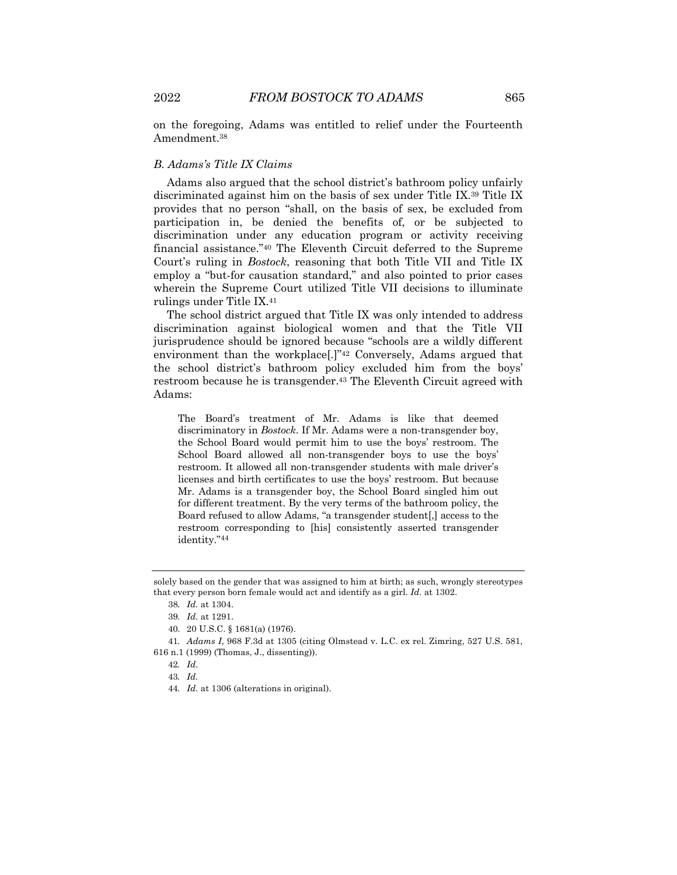on the foregoing, Adams was entitled to relief under the Fourteenth Amendment.38

# *B. Adams's Title IX Claims*

Adams also argued that the school district's bathroom policy unfairly discriminated against him on the basis of sex under Title IX.39 Title IX provides that no person "shall, on the basis of sex, be excluded from participation in, be denied the benefits of, or be subjected to discrimination under any education program or activity receiving financial assistance."40 The Eleventh Circuit deferred to the Supreme Court's ruling in *Bostock*, reasoning that both Title VII and Title IX employ a "but-for causation standard," and also pointed to prior cases wherein the Supreme Court utilized Title VII decisions to illuminate rulings under Title IX.41

The school district argued that Title IX was only intended to address discrimination against biological women and that the Title VII jurisprudence should be ignored because "schools are a wildly different environment than the workplace<sup>[1]"42</sup> Conversely, Adams argued that the school district's bathroom policy excluded him from the boys' restroom because he is transgender.<sup>43</sup> The Eleventh Circuit agreed with Adams:

The Board's treatment of Mr. Adams is like that deemed discriminatory in *Bostock*. If Mr. Adams were a non-transgender boy, the School Board would permit him to use the boys' restroom. The School Board allowed all non-transgender boys to use the boys' restroom. It allowed all non-transgender students with male driver's licenses and birth certificates to use the boys' restroom. But because Mr. Adams is a transgender boy, the School Board singled him out for different treatment. By the very terms of the bathroom policy, the Board refused to allow Adams, "a transgender student[,] access to the restroom corresponding to [his] consistently asserted transgender identity."44

- 40. 20 U.S.C. § 1681(a) (1976).
- 41*. Adams I*, 968 F.3d at 1305 (citing Olmstead v. L.C. ex rel. Zimring, 527 U.S. 581, 616 n.1 (1999) (Thomas, J., dissenting)).

43*. Id.*

solely based on the gender that was assigned to him at birth; as such, wrongly stereotypes that every person born female would act and identify as a girl. *Id.* at 1302.

<sup>38</sup>*. Id.* at 1304.

<sup>39</sup>*. Id.* at 1291.

<sup>42</sup>*. Id*.

<sup>44</sup>*. Id.* at 1306 (alterations in original).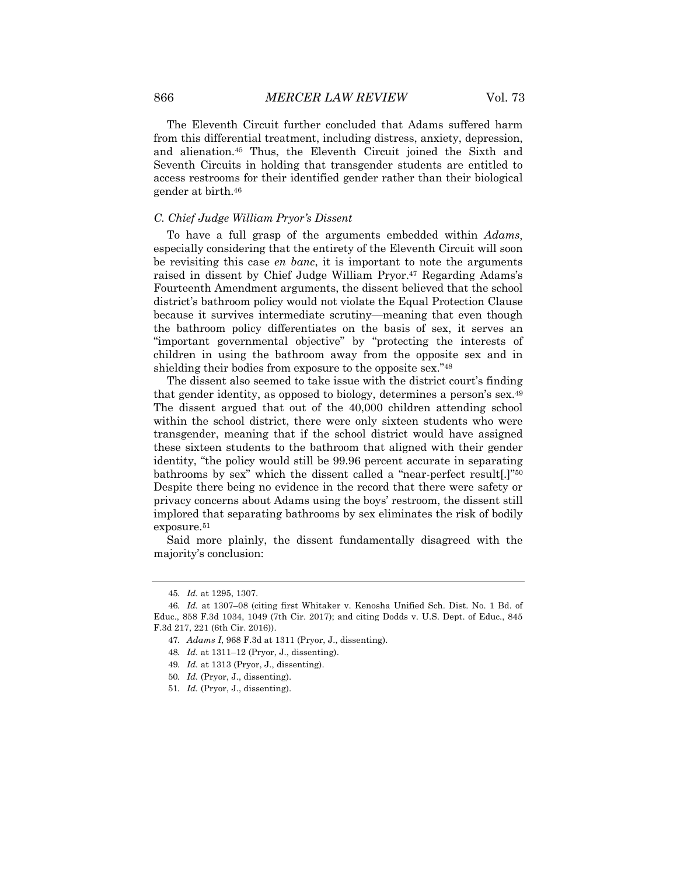The Eleventh Circuit further concluded that Adams suffered harm from this differential treatment, including distress, anxiety, depression, and alienation.45 Thus, the Eleventh Circuit joined the Sixth and Seventh Circuits in holding that transgender students are entitled to access restrooms for their identified gender rather than their biological gender at birth.46

### *C. Chief Judge William Pryor's Dissent*

To have a full grasp of the arguments embedded within *Adams*, especially considering that the entirety of the Eleventh Circuit will soon be revisiting this case *en banc*, it is important to note the arguments raised in dissent by Chief Judge William Pryor.47 Regarding Adams's Fourteenth Amendment arguments, the dissent believed that the school district's bathroom policy would not violate the Equal Protection Clause because it survives intermediate scrutiny—meaning that even though the bathroom policy differentiates on the basis of sex, it serves an "important governmental objective" by "protecting the interests of children in using the bathroom away from the opposite sex and in shielding their bodies from exposure to the opposite sex."48

The dissent also seemed to take issue with the district court's finding that gender identity, as opposed to biology, determines a person's sex.49 The dissent argued that out of the 40,000 children attending school within the school district, there were only sixteen students who were transgender, meaning that if the school district would have assigned these sixteen students to the bathroom that aligned with their gender identity, "the policy would still be 99.96 percent accurate in separating bathrooms by sex" which the dissent called a "near-perfect result[.]"50 Despite there being no evidence in the record that there were safety or privacy concerns about Adams using the boys' restroom, the dissent still implored that separating bathrooms by sex eliminates the risk of bodily exposure.<sup>51</sup>

Said more plainly, the dissent fundamentally disagreed with the majority's conclusion:

<sup>45</sup>*. Id.* at 1295, 1307.

<sup>46</sup>*. Id.* at 1307–08 (citing first Whitaker v. Kenosha Unified Sch. Dist. No. 1 Bd. of Educ., 858 F.3d 1034, 1049 (7th Cir. 2017); and citing Dodds v. U.S. Dept. of Educ., 845 F.3d 217, 221 (6th Cir. 2016)).

<sup>47</sup>*. Adams I*, 968 F.3d at 1311 (Pryor, J., dissenting).

<sup>48</sup>*. Id.* at 1311–12 (Pryor, J., dissenting).

<sup>49</sup>*. Id.* at 1313 (Pryor, J., dissenting).

<sup>50</sup>*. Id.* (Pryor, J., dissenting).

<sup>51</sup>*. Id.* (Pryor, J., dissenting).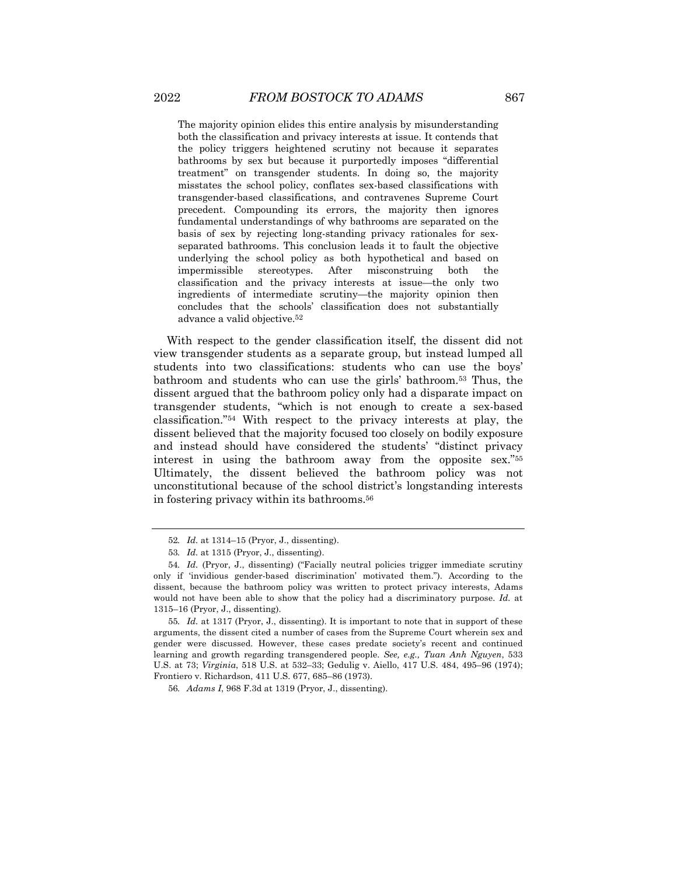The majority opinion elides this entire analysis by misunderstanding both the classification and privacy interests at issue. It contends that the policy triggers heightened scrutiny not because it separates bathrooms by sex but because it purportedly imposes "differential treatment" on transgender students. In doing so, the majority misstates the school policy, conflates sex-based classifications with transgender-based classifications, and contravenes Supreme Court precedent. Compounding its errors, the majority then ignores fundamental understandings of why bathrooms are separated on the basis of sex by rejecting long-standing privacy rationales for sexseparated bathrooms. This conclusion leads it to fault the objective underlying the school policy as both hypothetical and based on impermissible stereotypes. After misconstruing both the classification and the privacy interests at issue—the only two ingredients of intermediate scrutiny—the majority opinion then concludes that the schools' classification does not substantially advance a valid objective.52

With respect to the gender classification itself, the dissent did not view transgender students as a separate group, but instead lumped all students into two classifications: students who can use the boys' bathroom and students who can use the girls' bathroom.53 Thus, the dissent argued that the bathroom policy only had a disparate impact on transgender students, "which is not enough to create a sex-based classification."54 With respect to the privacy interests at play, the dissent believed that the majority focused too closely on bodily exposure and instead should have considered the students' "distinct privacy interest in using the bathroom away from the opposite sex."55 Ultimately, the dissent believed the bathroom policy was not unconstitutional because of the school district's longstanding interests in fostering privacy within its bathrooms.56

<sup>52</sup>*. Id.* at 1314–15 (Pryor, J., dissenting).

<sup>53</sup>*. Id.* at 1315 (Pryor, J., dissenting).

<sup>54</sup>*. Id.* (Pryor, J., dissenting) ("Facially neutral policies trigger immediate scrutiny only if 'invidious gender-based discrimination' motivated them."). According to the dissent, because the bathroom policy was written to protect privacy interests, Adams would not have been able to show that the policy had a discriminatory purpose. *Id.* at 1315–16 (Pryor, J., dissenting).

<sup>55</sup>*. Id.* at 1317 (Pryor, J., dissenting). It is important to note that in support of these arguments, the dissent cited a number of cases from the Supreme Court wherein sex and gender were discussed. However, these cases predate society's recent and continued learning and growth regarding transgendered people. *See, e.g., Tuan Anh Nguyen*, 533 U.S. at 73; *Virginia*, 518 U.S. at 532–33; Gedulig v. Aiello, 417 U.S. 484, 495–96 (1974); Frontiero v. Richardson, 411 U.S. 677, 685–86 (1973).

<sup>56</sup>*. Adams I*, 968 F.3d at 1319 (Pryor, J., dissenting).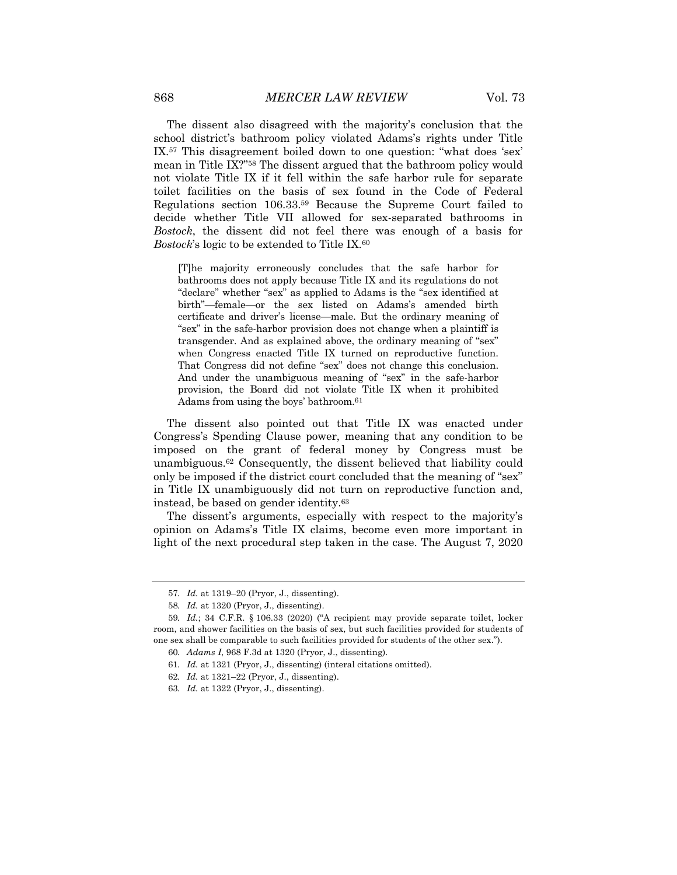The dissent also disagreed with the majority's conclusion that the school district's bathroom policy violated Adams's rights under Title IX.57 This disagreement boiled down to one question: "what does 'sex' mean in Title IX?"58 The dissent argued that the bathroom policy would not violate Title IX if it fell within the safe harbor rule for separate toilet facilities on the basis of sex found in the Code of Federal Regulations section 106.33.59 Because the Supreme Court failed to decide whether Title VII allowed for sex-separated bathrooms in *Bostock*, the dissent did not feel there was enough of a basis for *Bostock*'s logic to be extended to Title IX.60

[T]he majority erroneously concludes that the safe harbor for bathrooms does not apply because Title IX and its regulations do not "declare" whether "sex" as applied to Adams is the "sex identified at birth"—female—or the sex listed on Adams's amended birth certificate and driver's license—male. But the ordinary meaning of "sex" in the safe-harbor provision does not change when a plaintiff is transgender. And as explained above, the ordinary meaning of "sex" when Congress enacted Title IX turned on reproductive function. That Congress did not define "sex" does not change this conclusion. And under the unambiguous meaning of "sex" in the safe-harbor provision, the Board did not violate Title IX when it prohibited Adams from using the boys' bathroom.61

The dissent also pointed out that Title IX was enacted under Congress's Spending Clause power, meaning that any condition to be imposed on the grant of federal money by Congress must be unambiguous.62 Consequently, the dissent believed that liability could only be imposed if the district court concluded that the meaning of "sex" in Title IX unambiguously did not turn on reproductive function and, instead, be based on gender identity.63

The dissent's arguments, especially with respect to the majority's opinion on Adams's Title IX claims, become even more important in light of the next procedural step taken in the case. The August 7, 2020

<sup>57</sup>*. Id.* at 1319–20 (Pryor, J., dissenting).

<sup>58</sup>*. Id.* at 1320 (Pryor, J., dissenting).

<sup>59</sup>*. Id.*; 34 C.F.R. § 106.33 (2020) ("A recipient may provide separate toilet, locker room, and shower facilities on the basis of sex, but such facilities provided for students of one sex shall be comparable to such facilities provided for students of the other sex.").

<sup>60</sup>*. Adams I*, 968 F.3d at 1320 (Pryor, J., dissenting).

<sup>61</sup>*. Id.* at 1321 (Pryor, J., dissenting) (interal citations omitted).

<sup>62</sup>*. Id.* at 1321–22 (Pryor, J., dissenting).

<sup>63</sup>*. Id.* at 1322 (Pryor, J., dissenting).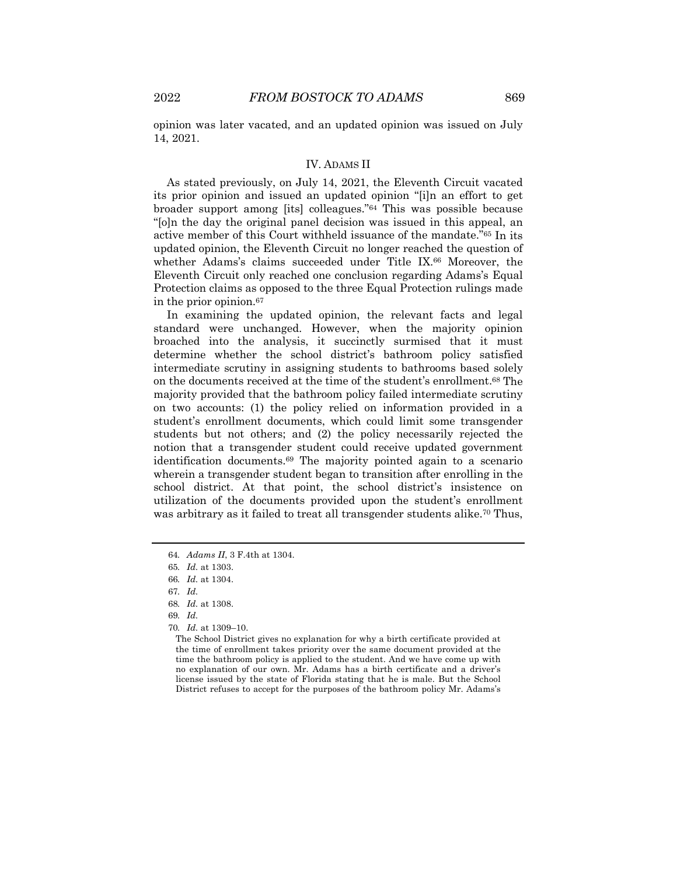opinion was later vacated, and an updated opinion was issued on July 14, 2021.

# IV. ADAMS II

As stated previously, on July 14, 2021, the Eleventh Circuit vacated its prior opinion and issued an updated opinion "[i]n an effort to get broader support among [its] colleagues."64 This was possible because "[o]n the day the original panel decision was issued in this appeal, an active member of this Court withheld issuance of the mandate."65 In its updated opinion, the Eleventh Circuit no longer reached the question of whether Adams's claims succeeded under Title IX.66 Moreover, the Eleventh Circuit only reached one conclusion regarding Adams's Equal Protection claims as opposed to the three Equal Protection rulings made in the prior opinion.67

In examining the updated opinion, the relevant facts and legal standard were unchanged. However, when the majority opinion broached into the analysis, it succinctly surmised that it must determine whether the school district's bathroom policy satisfied intermediate scrutiny in assigning students to bathrooms based solely on the documents received at the time of the student's enrollment.68 The majority provided that the bathroom policy failed intermediate scrutiny on two accounts: (1) the policy relied on information provided in a student's enrollment documents, which could limit some transgender students but not others; and (2) the policy necessarily rejected the notion that a transgender student could receive updated government identification documents.69 The majority pointed again to a scenario wherein a transgender student began to transition after enrolling in the school district. At that point, the school district's insistence on utilization of the documents provided upon the student's enrollment was arbitrary as it failed to treat all transgender students alike.<sup>70</sup> Thus,

<sup>64</sup>*. Adams II*, 3 F.4th at 1304.

<sup>65</sup>*. Id.* at 1303.

<sup>66</sup>*. Id.* at 1304.

<sup>67</sup>*. Id.*

<sup>68</sup>*. Id.* at 1308.

<sup>69</sup>*. Id.*

<sup>70</sup>*. Id.* at 1309–10.

The School District gives no explanation for why a birth certificate provided at the time of enrollment takes priority over the same document provided at the time the bathroom policy is applied to the student. And we have come up with no explanation of our own. Mr. Adams has a birth certificate and a driver's license issued by the state of Florida stating that he is male. But the School District refuses to accept for the purposes of the bathroom policy Mr. Adams's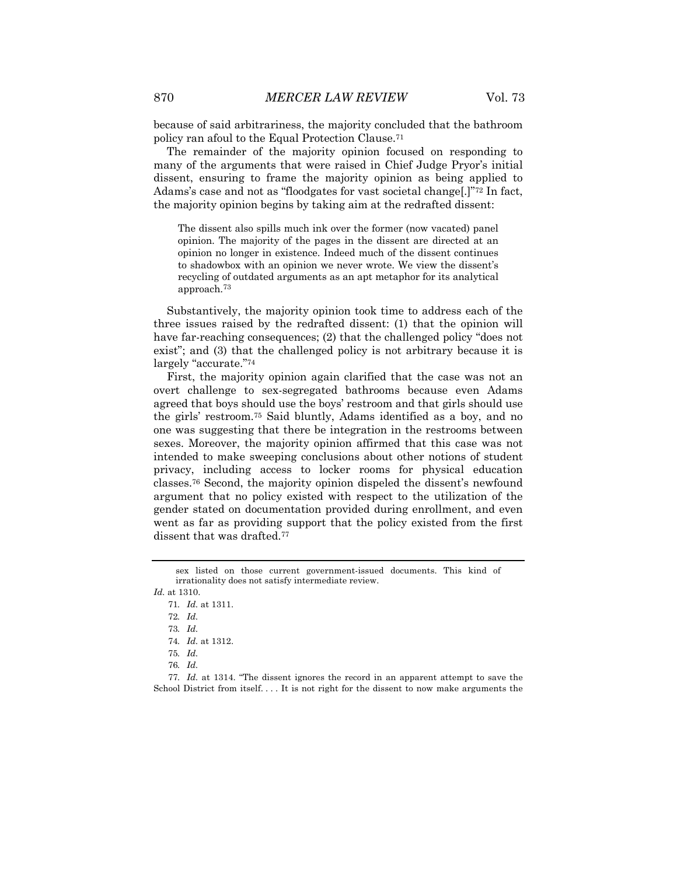because of said arbitrariness, the majority concluded that the bathroom policy ran afoul to the Equal Protection Clause.71

The remainder of the majority opinion focused on responding to many of the arguments that were raised in Chief Judge Pryor's initial dissent, ensuring to frame the majority opinion as being applied to Adams's case and not as "floodgates for vast societal change[.]"72 In fact, the majority opinion begins by taking aim at the redrafted dissent:

The dissent also spills much ink over the former (now vacated) panel opinion. The majority of the pages in the dissent are directed at an opinion no longer in existence. Indeed much of the dissent continues to shadowbox with an opinion we never wrote. We view the dissent's recycling of outdated arguments as an apt metaphor for its analytical approach.73

Substantively, the majority opinion took time to address each of the three issues raised by the redrafted dissent: (1) that the opinion will have far-reaching consequences; (2) that the challenged policy "does not exist"; and (3) that the challenged policy is not arbitrary because it is largely "accurate."74

First, the majority opinion again clarified that the case was not an overt challenge to sex-segregated bathrooms because even Adams agreed that boys should use the boys' restroom and that girls should use the girls' restroom.75 Said bluntly, Adams identified as a boy, and no one was suggesting that there be integration in the restrooms between sexes. Moreover, the majority opinion affirmed that this case was not intended to make sweeping conclusions about other notions of student privacy, including access to locker rooms for physical education classes.76 Second, the majority opinion dispeled the dissent's newfound argument that no policy existed with respect to the utilization of the gender stated on documentation provided during enrollment, and even went as far as providing support that the policy existed from the first dissent that was drafted.77

sex listed on those current government-issued documents. This kind of irrationality does not satisfy intermediate review.

*Id.* at 1310.

<sup>71</sup>*. Id.* at 1311.

<sup>72</sup>*. Id.*

<sup>73</sup>*. Id.*

<sup>74</sup>*. Id.* at 1312.

<sup>75</sup>*. Id.*

<sup>76</sup>*. Id.*

<sup>77</sup>*. Id.* at 1314. "The dissent ignores the record in an apparent attempt to save the School District from itself. . . . It is not right for the dissent to now make arguments the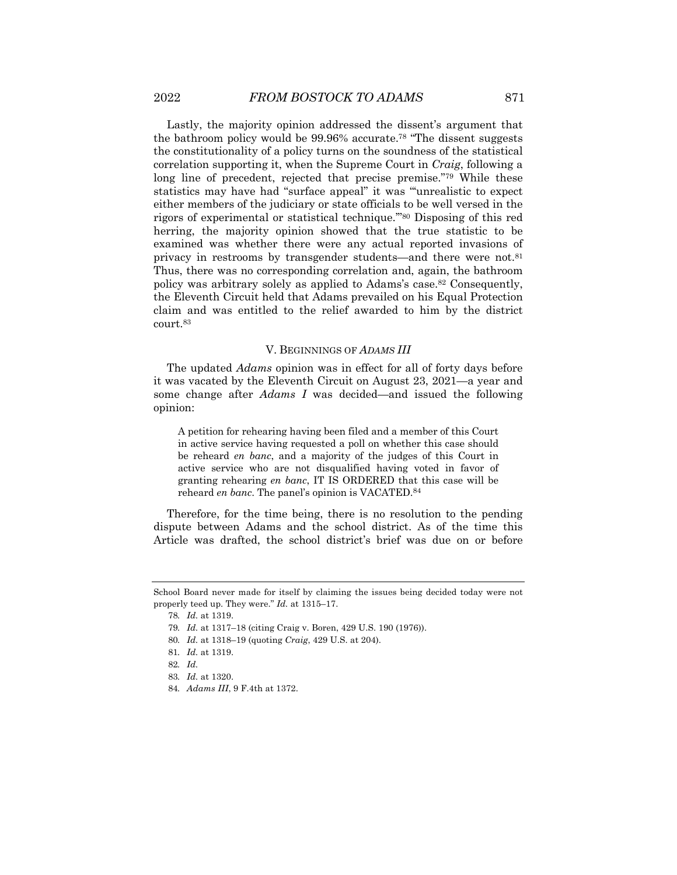Lastly, the majority opinion addressed the dissent's argument that the bathroom policy would be 99.96% accurate.78 "The dissent suggests the constitutionality of a policy turns on the soundness of the statistical correlation supporting it, when the Supreme Court in *Craig*, following a long line of precedent, rejected that precise premise."79 While these statistics may have had "surface appeal" it was "'unrealistic to expect either members of the judiciary or state officials to be well versed in the rigors of experimental or statistical technique.'"80 Disposing of this red herring, the majority opinion showed that the true statistic to be examined was whether there were any actual reported invasions of privacy in restrooms by transgender students—and there were not.81 Thus, there was no corresponding correlation and, again, the bathroom policy was arbitrary solely as applied to Adams's case.82 Consequently, the Eleventh Circuit held that Adams prevailed on his Equal Protection claim and was entitled to the relief awarded to him by the district court.83

#### V. BEGINNINGS OF *ADAMS III*

The updated *Adams* opinion was in effect for all of forty days before it was vacated by the Eleventh Circuit on August 23, 2021—a year and some change after *Adams I* was decided—and issued the following opinion:

A petition for rehearing having been filed and a member of this Court in active service having requested a poll on whether this case should be reheard *en banc*, and a majority of the judges of this Court in active service who are not disqualified having voted in favor of granting rehearing *en banc*, IT IS ORDERED that this case will be reheard *en banc*. The panel's opinion is VACATED.84

Therefore, for the time being, there is no resolution to the pending dispute between Adams and the school district. As of the time this Article was drafted, the school district's brief was due on or before

80*. Id.* at 1318–19 (quoting *Craig*, 429 U.S. at 204).

School Board never made for itself by claiming the issues being decided today were not properly teed up. They were." *Id.* at 1315–17.

<sup>78</sup>*. Id.* at 1319.

<sup>79</sup>*. Id.* at 1317–18 (citing Craig v. Boren, 429 U.S. 190 (1976)).

<sup>81</sup>*. Id.* at 1319.

<sup>82</sup>*. Id.*

<sup>83</sup>*. Id.* at 1320.

<sup>84</sup>*. Adams III*, 9 F.4th at 1372.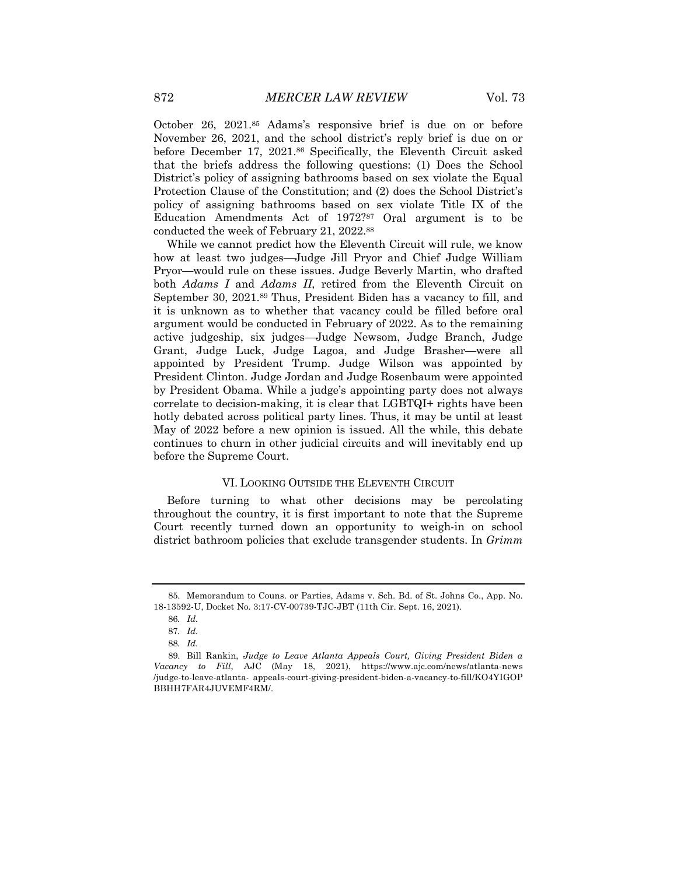October 26, 2021.85 Adams's responsive brief is due on or before November 26, 2021, and the school district's reply brief is due on or before December 17, 2021.86 Specifically, the Eleventh Circuit asked that the briefs address the following questions: (1) Does the School District's policy of assigning bathrooms based on sex violate the Equal Protection Clause of the Constitution; and (2) does the School District's policy of assigning bathrooms based on sex violate Title IX of the Education Amendments Act of 1972?87 Oral argument is to be conducted the week of February 21, 2022.88

While we cannot predict how the Eleventh Circuit will rule, we know how at least two judges—Judge Jill Pryor and Chief Judge William Pryor—would rule on these issues. Judge Beverly Martin, who drafted both *Adams I* and *Adams II*, retired from the Eleventh Circuit on September 30, 2021.89 Thus, President Biden has a vacancy to fill, and it is unknown as to whether that vacancy could be filled before oral argument would be conducted in February of 2022. As to the remaining active judgeship, six judges—Judge Newsom, Judge Branch, Judge Grant, Judge Luck, Judge Lagoa, and Judge Brasher—were all appointed by President Trump. Judge Wilson was appointed by President Clinton. Judge Jordan and Judge Rosenbaum were appointed by President Obama. While a judge's appointing party does not always correlate to decision-making, it is clear that LGBTQI+ rights have been hotly debated across political party lines. Thus, it may be until at least May of 2022 before a new opinion is issued. All the while, this debate continues to churn in other judicial circuits and will inevitably end up before the Supreme Court.

#### VI. LOOKING OUTSIDE THE ELEVENTH CIRCUIT

Before turning to what other decisions may be percolating throughout the country, it is first important to note that the Supreme Court recently turned down an opportunity to weigh-in on school district bathroom policies that exclude transgender students. In *Grimm* 

<sup>85.</sup> Memorandum to Couns. or Parties, Adams v. Sch. Bd. of St. Johns Co., App. No. 18-13592-U, Docket No. 3:17-CV-00739-TJC-JBT (11th Cir. Sept. 16, 2021).

<sup>86</sup>*. Id.*

<sup>87</sup>*. Id.*

<sup>88</sup>*. Id.*

<sup>89.</sup> Bill Rankin, *Judge to Leave Atlanta Appeals Court, Giving President Biden a Vacancy to Fill*, AJC (May 18, 2021), https://www.ajc.com/news/atlanta-news /judge-to-leave-atlanta- appeals-court-giving-president-biden-a-vacancy-to-fill/KO4YIGOP BBHH7FAR4JUVEMF4RM/.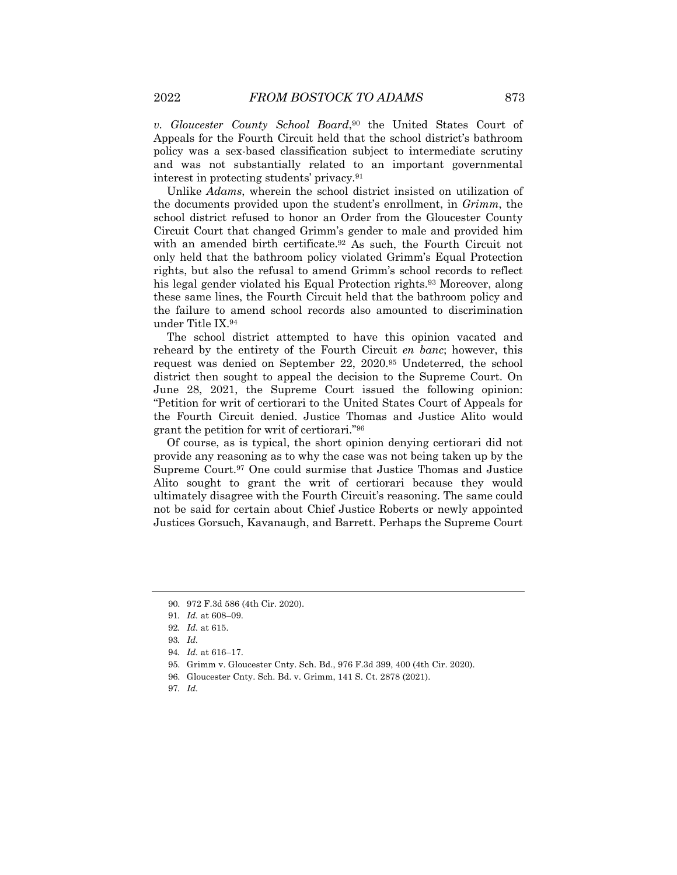*v. Gloucester County School Board*,90 the United States Court of Appeals for the Fourth Circuit held that the school district's bathroom policy was a sex-based classification subject to intermediate scrutiny and was not substantially related to an important governmental interest in protecting students' privacy.91

Unlike *Adams*, wherein the school district insisted on utilization of the documents provided upon the student's enrollment, in *Grimm*, the school district refused to honor an Order from the Gloucester County Circuit Court that changed Grimm's gender to male and provided him with an amended birth certificate.<sup>92</sup> As such, the Fourth Circuit not only held that the bathroom policy violated Grimm's Equal Protection rights, but also the refusal to amend Grimm's school records to reflect his legal gender violated his Equal Protection rights.<sup>93</sup> Moreover, along these same lines, the Fourth Circuit held that the bathroom policy and the failure to amend school records also amounted to discrimination under Title IX.94

The school district attempted to have this opinion vacated and reheard by the entirety of the Fourth Circuit *en banc*; however, this request was denied on September 22, 2020.95 Undeterred, the school district then sought to appeal the decision to the Supreme Court. On June 28, 2021, the Supreme Court issued the following opinion: "Petition for writ of certiorari to the United States Court of Appeals for the Fourth Circuit denied. Justice Thomas and Justice Alito would grant the petition for writ of certiorari."96

Of course, as is typical, the short opinion denying certiorari did not provide any reasoning as to why the case was not being taken up by the Supreme Court.97 One could surmise that Justice Thomas and Justice Alito sought to grant the writ of certiorari because they would ultimately disagree with the Fourth Circuit's reasoning. The same could not be said for certain about Chief Justice Roberts or newly appointed Justices Gorsuch, Kavanaugh, and Barrett. Perhaps the Supreme Court

96. Gloucester Cnty. Sch. Bd. v. Grimm, 141 S. Ct. 2878 (2021).

<sup>90.</sup> 972 F.3d 586 (4th Cir. 2020).

<sup>91</sup>*. Id.* at 608–09.

<sup>92</sup>*. Id.* at 615.

<sup>93</sup>*. Id.*

<sup>94</sup>*. Id.* at 616–17.

<sup>95.</sup> Grimm v. Gloucester Cnty. Sch. Bd., 976 F.3d 399, 400 (4th Cir. 2020).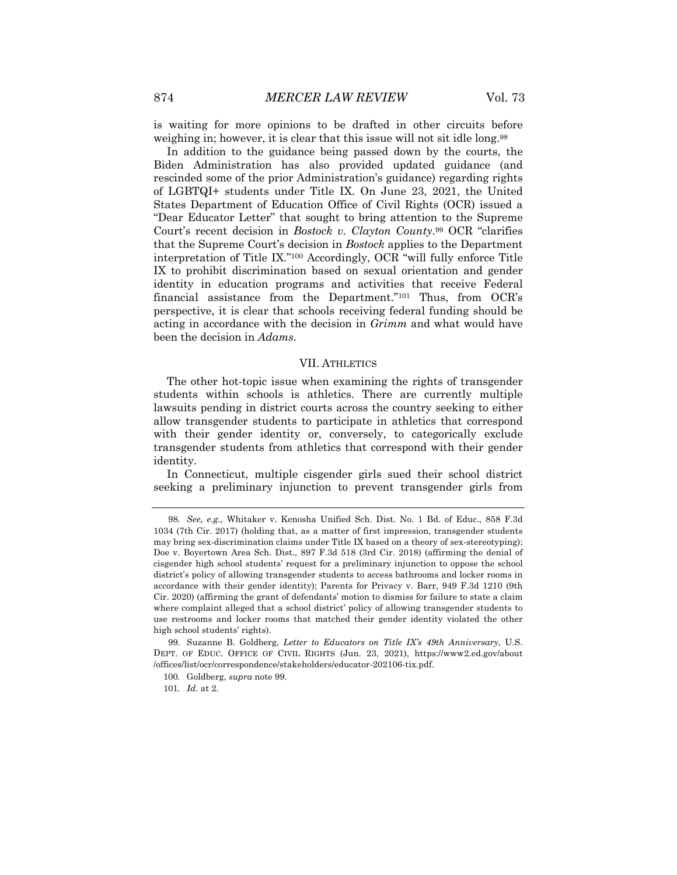is waiting for more opinions to be drafted in other circuits before weighing in; however, it is clear that this issue will not sit idle long.<sup>98</sup>

In addition to the guidance being passed down by the courts, the Biden Administration has also provided updated guidance (and rescinded some of the prior Administration's guidance) regarding rights of LGBTQI+ students under Title IX. On June 23, 2021, the United States Department of Education Office of Civil Rights (OCR) issued a "Dear Educator Letter" that sought to bring attention to the Supreme Court's recent decision in *Bostock v. Clayton County*.99 OCR "clarifies that the Supreme Court's decision in *Bostock* applies to the Department interpretation of Title IX."100 Accordingly, OCR "will fully enforce Title IX to prohibit discrimination based on sexual orientation and gender identity in education programs and activities that receive Federal financial assistance from the Department."101 Thus, from OCR's perspective, it is clear that schools receiving federal funding should be acting in accordance with the decision in *Grimm* and what would have been the decision in *Adams*.

#### VII. ATHLETICS

The other hot-topic issue when examining the rights of transgender students within schools is athletics. There are currently multiple lawsuits pending in district courts across the country seeking to either allow transgender students to participate in athletics that correspond with their gender identity or, conversely, to categorically exclude transgender students from athletics that correspond with their gender identity.

In Connecticut, multiple cisgender girls sued their school district seeking a preliminary injunction to prevent transgender girls from

<sup>98</sup>*. See, e.g.,* Whitaker v. Kenosha Unified Sch. Dist. No. 1 Bd. of Educ., 858 F.3d 1034 (7th Cir. 2017) (holding that, as a matter of first impression, transgender students may bring sex-discrimination claims under Title IX based on a theory of sex-stereotyping); Doe v. Boyertown Area Sch. Dist., 897 F.3d 518 (3rd Cir. 2018) (affirming the denial of cisgender high school students' request for a preliminary injunction to oppose the school district's policy of allowing transgender students to access bathrooms and locker rooms in accordance with their gender identity); Parents for Privacy v. Barr, 949 F.3d 1210 (9th Cir. 2020) (affirming the grant of defendants' motion to dismiss for failure to state a claim where complaint alleged that a school district' policy of allowing transgender students to use restrooms and locker rooms that matched their gender identity violated the other high school students' rights).

<sup>99.</sup> Suzanne B. Goldberg, *Letter to Educators on Title IX's 49th Anniversary*, U.S. DEPT. OF EDUC. OFFICE OF CIVIL RIGHTS (Jun. 23, 2021), https://www2.ed.gov/about /offices/list/ocr/correspondence/stakeholders/educator-202106-tix.pdf.

<sup>100.</sup> Goldberg, *supra* note 99.

<sup>101</sup>*. Id.* at 2.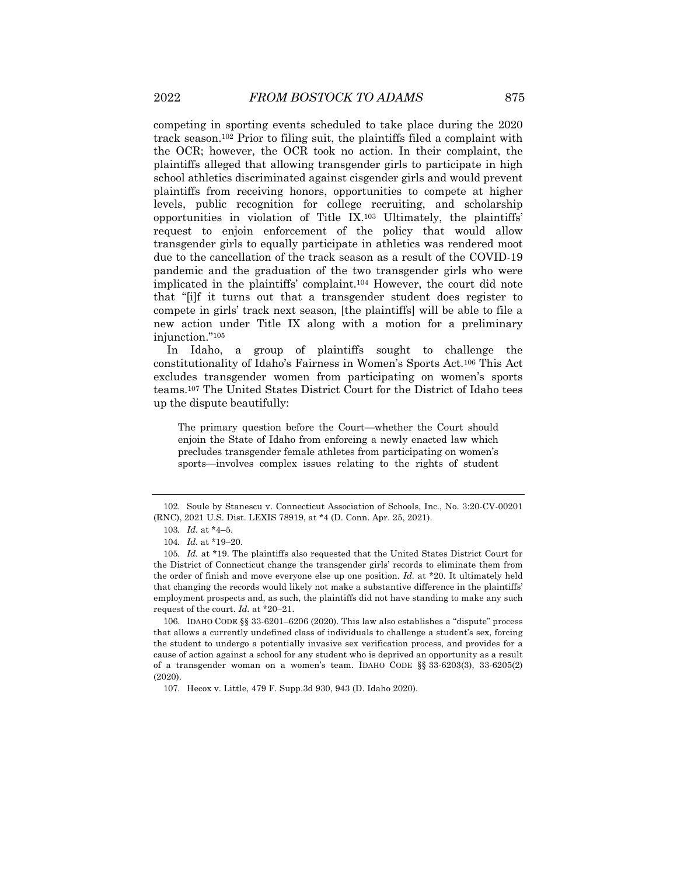competing in sporting events scheduled to take place during the 2020 track season.102 Prior to filing suit, the plaintiffs filed a complaint with the OCR; however, the OCR took no action. In their complaint, the plaintiffs alleged that allowing transgender girls to participate in high school athletics discriminated against cisgender girls and would prevent plaintiffs from receiving honors, opportunities to compete at higher levels, public recognition for college recruiting, and scholarship opportunities in violation of Title IX.103 Ultimately, the plaintiffs' request to enjoin enforcement of the policy that would allow transgender girls to equally participate in athletics was rendered moot due to the cancellation of the track season as a result of the COVID-19 pandemic and the graduation of the two transgender girls who were implicated in the plaintiffs' complaint.104 However, the court did note that "[i]f it turns out that a transgender student does register to compete in girls' track next season, [the plaintiffs] will be able to file a new action under Title IX along with a motion for a preliminary injunction."105

In Idaho, a group of plaintiffs sought to challenge the constitutionality of Idaho's Fairness in Women's Sports Act.106 This Act excludes transgender women from participating on women's sports teams.107 The United States District Court for the District of Idaho tees up the dispute beautifully:

The primary question before the Court—whether the Court should enjoin the State of Idaho from enforcing a newly enacted law which precludes transgender female athletes from participating on women's sports—involves complex issues relating to the rights of student

<sup>102.</sup> Soule by Stanescu v. Connecticut Association of Schools, Inc., No. 3:20-CV-00201 (RNC), 2021 U.S. Dist. LEXIS 78919, at \*4 (D. Conn. Apr. 25, 2021).

<sup>103</sup>*. Id.* at \*4–5.

<sup>104</sup>*. Id.* at \*19–20.

<sup>105</sup>*. Id.* at \*19. The plaintiffs also requested that the United States District Court for the District of Connecticut change the transgender girls' records to eliminate them from the order of finish and move everyone else up one position. *Id.* at \*20. It ultimately held that changing the records would likely not make a substantive difference in the plaintiffs' employment prospects and, as such, the plaintiffs did not have standing to make any such request of the court. *Id.* at \*20–21.

<sup>106.</sup> IDAHO CODE §§ 33-6201–6206 (2020). This law also establishes a "dispute" process that allows a currently undefined class of individuals to challenge a student's sex, forcing the student to undergo a potentially invasive sex verification process, and provides for a cause of action against a school for any student who is deprived an opportunity as a result of a transgender woman on a women's team. IDAHO CODE §§ 33-6203(3), 33-6205(2) (2020).

<sup>107.</sup> Hecox v. Little, 479 F. Supp.3d 930, 943 (D. Idaho 2020).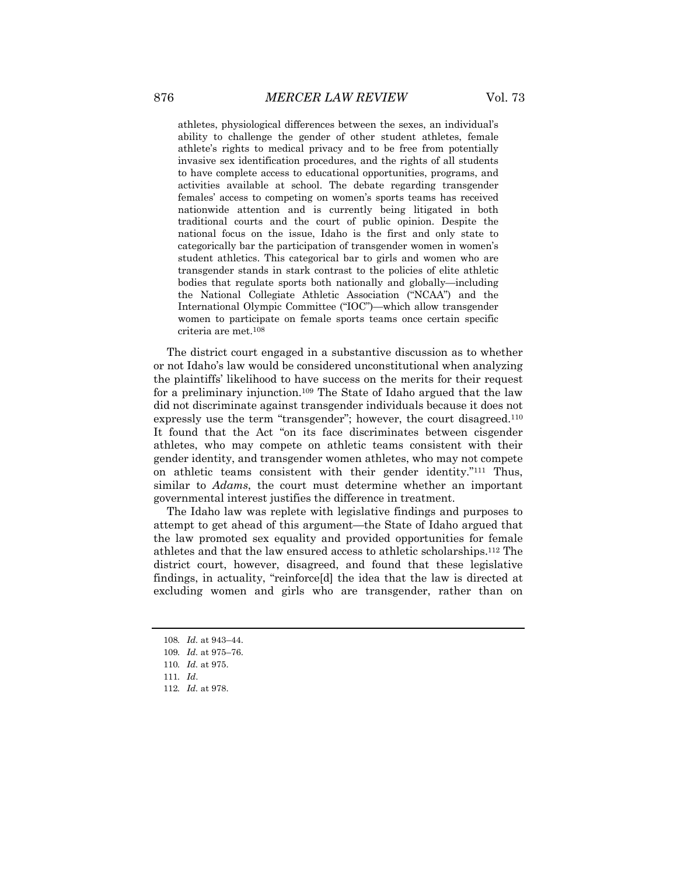athletes, physiological differences between the sexes, an individual's ability to challenge the gender of other student athletes, female athlete's rights to medical privacy and to be free from potentially invasive sex identification procedures, and the rights of all students to have complete access to educational opportunities, programs, and activities available at school. The debate regarding transgender females' access to competing on women's sports teams has received nationwide attention and is currently being litigated in both traditional courts and the court of public opinion. Despite the national focus on the issue, Idaho is the first and only state to categorically bar the participation of transgender women in women's student athletics. This categorical bar to girls and women who are transgender stands in stark contrast to the policies of elite athletic bodies that regulate sports both nationally and globally—including the National Collegiate Athletic Association ("NCAA") and the International Olympic Committee ("IOC")—which allow transgender women to participate on female sports teams once certain specific criteria are met.108

The district court engaged in a substantive discussion as to whether or not Idaho's law would be considered unconstitutional when analyzing the plaintiffs' likelihood to have success on the merits for their request for a preliminary injunction.109 The State of Idaho argued that the law did not discriminate against transgender individuals because it does not expressly use the term "transgender"; however, the court disagreed.110 It found that the Act "on its face discriminates between cisgender athletes, who may compete on athletic teams consistent with their gender identity, and transgender women athletes, who may not compete on athletic teams consistent with their gender identity."111 Thus, similar to *Adams*, the court must determine whether an important governmental interest justifies the difference in treatment.

The Idaho law was replete with legislative findings and purposes to attempt to get ahead of this argument—the State of Idaho argued that the law promoted sex equality and provided opportunities for female athletes and that the law ensured access to athletic scholarships.112 The district court, however, disagreed, and found that these legislative findings, in actuality, "reinforce[d] the idea that the law is directed at excluding women and girls who are transgender, rather than on

<sup>108</sup>*. Id.* at 943–44.

<sup>109</sup>*. Id.* at 975–76.

<sup>110</sup>*. Id.* at 975.

<sup>111</sup>*. Id*.

<sup>112</sup>*. Id.* at 978.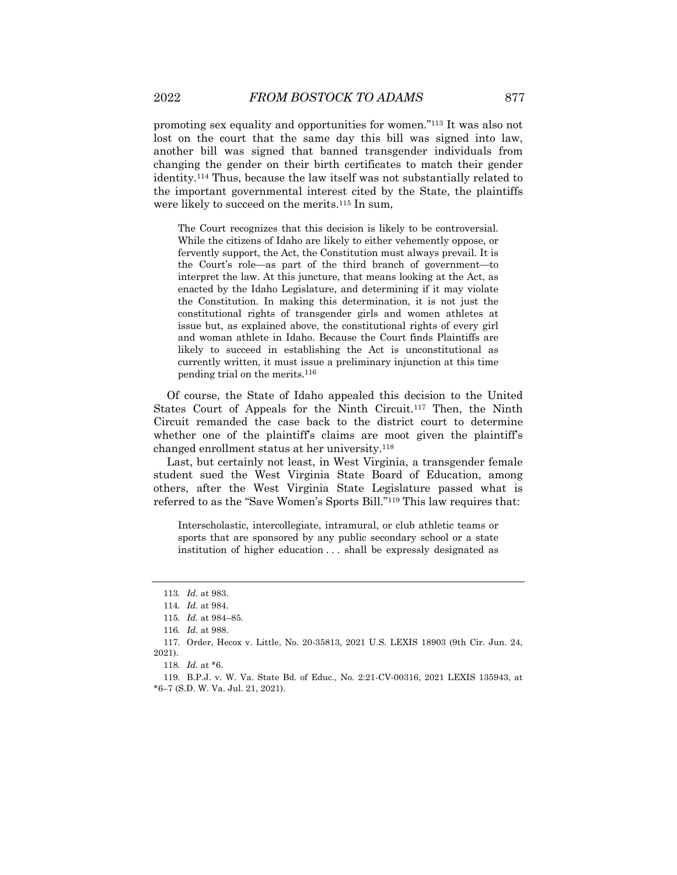promoting sex equality and opportunities for women."113 It was also not lost on the court that the same day this bill was signed into law, another bill was signed that banned transgender individuals from changing the gender on their birth certificates to match their gender identity.114 Thus, because the law itself was not substantially related to the important governmental interest cited by the State, the plaintiffs were likely to succeed on the merits.<sup>115</sup> In sum,

The Court recognizes that this decision is likely to be controversial. While the citizens of Idaho are likely to either vehemently oppose, or fervently support, the Act, the Constitution must always prevail. It is the Court's role—as part of the third branch of government—to interpret the law. At this juncture, that means looking at the Act, as enacted by the Idaho Legislature, and determining if it may violate the Constitution. In making this determination, it is not just the constitutional rights of transgender girls and women athletes at issue but, as explained above, the constitutional rights of every girl and woman athlete in Idaho. Because the Court finds Plaintiffs are likely to succeed in establishing the Act is unconstitutional as currently written, it must issue a preliminary injunction at this time pending trial on the merits.116

Of course, the State of Idaho appealed this decision to the United States Court of Appeals for the Ninth Circuit.117 Then, the Ninth Circuit remanded the case back to the district court to determine whether one of the plaintiff's claims are moot given the plaintiff's changed enrollment status at her university.118

Last, but certainly not least, in West Virginia, a transgender female student sued the West Virginia State Board of Education, among others, after the West Virginia State Legislature passed what is referred to as the "Save Women's Sports Bill."119 This law requires that:

Interscholastic, intercollegiate, intramural, or club athletic teams or sports that are sponsored by any public secondary school or a state institution of higher education . . . shall be expressly designated as

<sup>113</sup>*. Id.* at 983.

<sup>114</sup>*. Id.* at 984.

<sup>115</sup>*. Id.* at 984–85.

<sup>116</sup>*. Id.* at 988.

<sup>117.</sup> Order, Hecox v. Little, No. 20-35813, 2021 U.S. LEXIS 18903 (9th Cir. Jun. 24, 2021).

<sup>118</sup>*. Id.* at \*6.

<sup>119.</sup> B.P.J. v. W. Va. State Bd. of Educ., No. 2:21-CV-00316, 2021 LEXIS 135943, at \*6–7 (S.D. W. Va. Jul. 21, 2021).